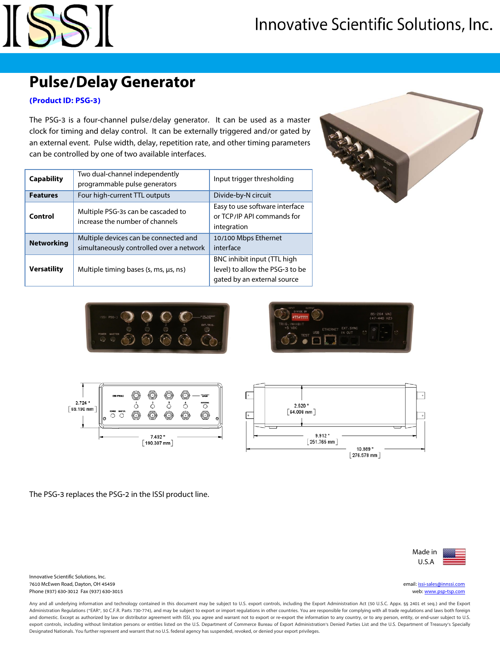

### **Pulse/Delay Generator**

#### **(Product ID: PSG-3)**

The PSG-3 is a four-channel pulse/delay generator. It can be used as a master clock for timing and delay control. It can be externally triggered and/or gated by an external event. Pulse width, delay, repetition rate, and other timing parameters can be controlled by one of two available interfaces.

| Two dual-channel independently<br><b>Capability</b> |                                                                                   | Input trigger thresholding                                                                    |  |
|-----------------------------------------------------|-----------------------------------------------------------------------------------|-----------------------------------------------------------------------------------------------|--|
|                                                     | programmable pulse generators                                                     |                                                                                               |  |
| <b>Features</b>                                     | Four high-current TTL outputs                                                     | Divide-by-N circuit                                                                           |  |
| Control                                             | Multiple PSG-3s can be cascaded to<br>increase the number of channels             | Easy to use software interface<br>or TCP/IP API commands for<br>integration                   |  |
| <b>Networking</b>                                   | Multiple devices can be connected and<br>simultaneously controlled over a network | 10/100 Mbps Ethernet<br>interface                                                             |  |
| <b>Versatility</b>                                  | Multiple timing bases (s, ms, us, ns)                                             | BNC inhibit input (TTL high<br>level) to allow the PSG-3 to be<br>gated by an external source |  |









The PSG-3 replaces the PSG-2 in the ISSI product line.



Innovative Scientific Solutions, Inc. 7610 McEwen Road, Dayton, OH 45459 email: [issi-sales@innssi.com](mailto:issi-sales@innssi.com) Phone (937) 630-3012 Fax (937) 630-3015 web[: www.psp-tsp.com](http://www.psp-tsp.com/)

Any and all underlying information and technology contained in this document may be subject to U.S. export controls, including the Export Administration Act (50 U.S.C. Appx. §§ 2401 et seq.) and the Export Administration Regulations ("EAR", 50 C.F.R. Parts 730-774), and may be subject to export or import regulations in other countries. You are responsible for complying with all trade regulations and laws both foreign and domestic. Except as authorized by law or distributor agreement with ISSI, you agree and warrant not to export or re-export the information to any country, or to any person, entity, or end-user subject to U.S. export controls, including without limitation persons or entities listed on the U.S. Department of Commerce Bureau of Export Administration's Denied Parties List and the U.S. Department of Treasury's Specially Designated Nationals. You further represent and warrant that no U.S. federal agency has suspended, revoked, or denied your export privileges.